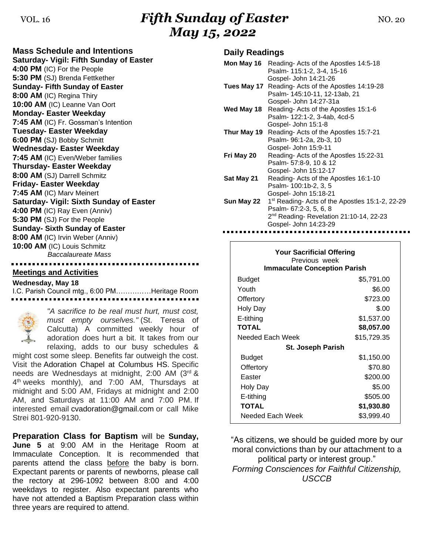## VOL. 16 **Fifth Sunday of Easter NO. 20** *May 15, 2022*

**Mass Schedule and Intentions Saturday- Vigil: Fifth Sunday of Easter 4:00 PM** (IC) For the People **5:30 PM** (SJ) Brenda Fettkether **Sunday- Fifth Sunday of Easter 8:00 AM** (IC) Regina Thiry **10:00 AM** (IC) Leanne Van Oort **Monday- Easter Weekday 7:45 AM** (IC) Fr. Gossman's Intention **Tuesday- Easter Weekday 6:00 PM** (SJ) Bobby Schmitt **Wednesday- Easter Weekday 7:45 AM** (IC) Even/Weber families **Thursday- Easter Weekday 8:00 AM** (SJ) Darrell Schmitz **Friday- Easter Weekday 7:45 AM** (IC) Marv Meinert **Saturday- Vigil: Sixth Sunday of Easter 4:00 PM** (IC) Ray Even (Anniv) **5:30 PM** (SJ) For the People **Sunday- Sixth Sunday of Easter 8:00 AM** (IC) Irvin Weber (Anniv) **10:00 AM** (IC) Louis Schmitz *Baccalaureate Mass*

#### **Meetings and Activities**

**Wednesday, May 18**

I.C. Parish Council mtg., 6:00 PM……………Heritage Room



*"A sacrifice to be real must hurt, must cost, must empty ourselves."* (St. Teresa of Calcutta) A committed weekly hour of adoration does hurt a bit. It takes from our relaxing, adds to our busy schedules &

might cost some sleep. Benefits far outweigh the cost. Visit the Adoration Chapel at Columbus HS. Specific needs are Wednesdays at midnight, 2:00 AM (3rd & 4<sup>th</sup> weeks monthly), and 7:00 AM, Thursdays at midnight and 5:00 AM, Fridays at midnight and 2:00 AM, and Saturdays at 11:00 AM and 7:00 PM. If interested email [cvadoration@gmail.com](mailto:cvadoration@gmail.com) or call Mike Strei 801-920-9130.

**Preparation Class for Baptism** will be **Sunday, June 5** at 9:00 AM in the Heritage Room at Immaculate Conception. It is recommended that parents attend the class before the baby is born. Expectant parents or parents of newborns, please call the rectory at 296-1092 between 8:00 and 4:00 weekdays to register. Also expectant parents who have not attended a Baptism Preparation class within three years are required to attend.

#### **Daily Readings**

|            | <b>Mon May 16</b> Reading-Acts of the Apostles 14:5-18      |
|------------|-------------------------------------------------------------|
|            | Psalm- 115:1-2, 3-4, 15-16                                  |
|            | Gospel- John 14:21-26                                       |
|            | Tues May 17 Reading- Acts of the Apostles 14:19-28          |
|            | Psalm- 145:10-11, 12-13ab, 21                               |
|            | Gospel- John 14:27-31a                                      |
| Wed May 18 | Reading-Acts of the Apostles 15:1-6                         |
|            | Psalm- 122:1-2, 3-4ab, 4cd-5                                |
|            | Gospel- John 15:1-8                                         |
|            | Thur May 19 Reading- Acts of the Apostles 15:7-21           |
|            | Psalm- 96:1-2a, 2b-3, 10                                    |
|            | Gospel- John 15:9-11                                        |
| Fri May 20 | Reading- Acts of the Apostles 15:22-31                      |
|            | Psalm- 57:8-9, 10 & 12                                      |
|            | Gospel- John 15:12-17                                       |
| Sat May 21 | Reading-Acts of the Apostles 16:1-10                        |
|            | Psalm- 100:1b-2, 3, 5                                       |
|            | Gospel- John 15:18-21                                       |
| Sun May 22 | 1 <sup>st</sup> Reading- Acts of the Apostles 15:1-2, 22-29 |
|            | Psalm- 67:2-3, 5, 6, 8                                      |
|            | 2 <sup>nd</sup> Reading-Revelation 21:10-14, 22-23          |
|            | Gospel- John 14:23-29                                       |
|            |                                                             |

| <b>Your Sacrificial Offering</b><br>Previous week<br><b>Immaculate Conception Parish</b> |             |  |  |
|------------------------------------------------------------------------------------------|-------------|--|--|
| <b>Budget</b>                                                                            | \$5,791.00  |  |  |
| Youth                                                                                    | \$6.00      |  |  |
| Offertory                                                                                | \$723.00    |  |  |
| Holy Day                                                                                 | \$.00       |  |  |
| E-tithing                                                                                | \$1,537.00  |  |  |
| <b>TOTAL</b>                                                                             | \$8,057.00  |  |  |
| Needed Each Week                                                                         | \$15,729.35 |  |  |
| <b>St. Joseph Parish</b>                                                                 |             |  |  |
| Budget                                                                                   | \$1,150.00  |  |  |
| Offertory                                                                                | \$70.80     |  |  |
| Easter                                                                                   | \$200.00    |  |  |
| Holy Day                                                                                 | \$5.00      |  |  |
| E-tithing                                                                                | \$505.00    |  |  |
| <b>TOTAL</b>                                                                             | \$1,930.80  |  |  |
| Needed Each Week                                                                         | \$3,999.40  |  |  |

"As citizens, we should be guided more by our moral convictions than by our attachment to a political party or interest group." *Forming Consciences for Faithful Citizenship, USCCB*